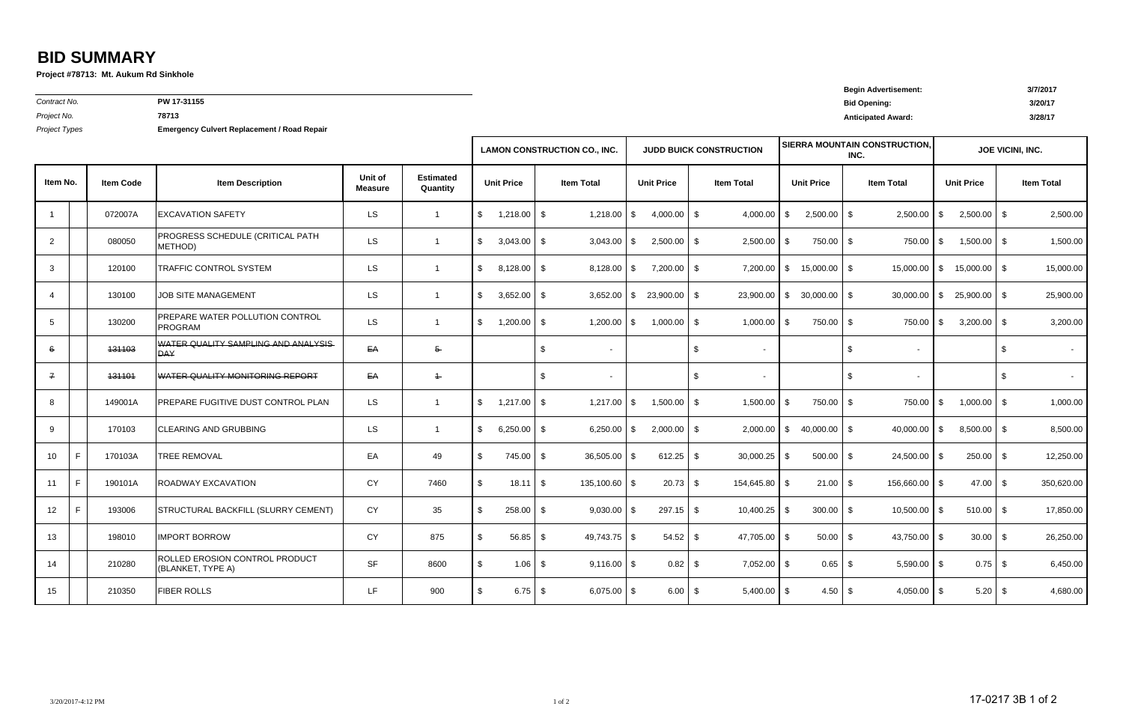*Contract No.*

**PW 17-31155**

**Begin Advertisement: 3/7/2017 Bid Opening: 3/20/17** *Project No.* **<sup>78713</sup> Anticipated Award: 3/28/17**

*Project Types* **Emergency Culvert Replacement / Road Repair**

|                       |                  |                                                     |                           |                              | <b>LAMON CONSTRUCTION CO., INC.</b> |                 |                |                   |                   | <b>JUDD BUICK CONSTRUCTION</b> |                   |                |                   |                            | <b>SIERRA MOUNTAIN CONSTRUCTION,</b><br>INC. | JOE VICINI, INC. |                   |                |               |                   |
|-----------------------|------------------|-----------------------------------------------------|---------------------------|------------------------------|-------------------------------------|-----------------|----------------|-------------------|-------------------|--------------------------------|-------------------|----------------|-------------------|----------------------------|----------------------------------------------|------------------|-------------------|----------------|---------------|-------------------|
| Item No.              | <b>Item Code</b> | <b>Item Description</b>                             | Unit of<br><b>Measure</b> | <b>Estimated</b><br>Quantity | <b>Unit Price</b>                   |                 |                | <b>Item Total</b> | <b>Unit Price</b> |                                | <b>Item Total</b> |                | <b>Unit Price</b> |                            | <b>Item Total</b>                            |                  | <b>Unit Price</b> |                |               | <b>Item Total</b> |
| $\overline{1}$        | 072007A          | <b>EXCAVATION SAFETY</b>                            | <b>LS</b>                 | $\overline{1}$               | $\sqrt[6]{\frac{1}{2}}$             | $1,218.00$ \$   |                | 1,218.00          | \$                | $4,000.00$ \$                  |                   | 4,000.00       | -S                | $2,500.00$ \$              |                                              | 2,500.00         | - \$              | $2,500.00$ \$  |               | 2,500.00          |
| $\overline{2}$        | 080050           | PROGRESS SCHEDULE (CRITICAL PATH<br>METHOD)         | LS.                       | $\overline{1}$               | \$                                  | 3,043.00        | \$             | 3,043.00          | \$                | $2,500.00$ \$                  |                   | $2,500.00$ \$  |                   | 750.00 \$                  |                                              | $750.00$ \$      |                   | $1,500.00$ \$  |               | 1,500.00          |
| $\mathbf{3}$          | 120100           | TRAFFIC CONTROL SYSTEM                              | <b>LS</b>                 | $\overline{1}$               | \$                                  | $8,128.00$ \ \$ |                | 8,128.00          | $\bullet$         | $7,200.00$ \$                  |                   |                |                   | $7,200.00$ \$ 15,000.00 \$ |                                              | 15,000.00        | $1$ \$            | $15,000.00$ \$ |               | 15,000.00         |
| $\overline{4}$        | 130100           | <b>JOB SITE MANAGEMENT</b>                          | <b>LS</b>                 | $\overline{1}$               | $\sqrt[6]{\frac{1}{2}}$             | 3,652.00        | \$             | 3,652.00          | $\$\$             | $23,900.00$ \$                 |                   | 23,900.00      | $\sqrt{3}$        | $30,000.00$ \$             |                                              | 30,000.00        | \$                | $25,900.00$ \$ |               | 25,900.00         |
| $5\phantom{.0}$       | 130200           | PREPARE WATER POLLUTION CONTROL<br><b>PROGRAM</b>   | LS.                       | $\overline{1}$               | $\mathfrak{S}$                      | 1,200.00        | \$             | 1,200.00          | - S               | $1,000.00$ \$                  |                   | $1,000.00$ \$  |                   | 750.00 \$                  |                                              | $750.00$ \$      |                   | $3,200.00$ \$  |               | 3,200.00          |
| 6                     | 131103           | WATER QUALITY SAMPLING AND ANALYSIS<br><b>DAY</b>   | EA                        | $5 -$                        |                                     |                 | $\mathfrak{S}$ | $\blacksquare$    |                   |                                | $\mathsf{\$}$     | $\sim$         |                   |                            | $\sqrt[6]{2}$                                |                  |                   |                | \$            |                   |
| $\mathcal{I}$         | 131101           | WATER QUALITY MONITORING REPORT                     | EA                        | $\ddagger$                   |                                     |                 | \$             | $\blacksquare$    |                   |                                | $\frac{1}{2}$     | $\sim$         |                   |                            | $\sqrt[6]{2}$                                | $\overline{a}$   |                   |                | $\sqrt[6]{2}$ | $\sim$            |
| 8                     | 149001A          | PREPARE FUGITIVE DUST CONTROL PLAN                  | LS.                       | $\overline{1}$               | $\sqrt[6]{\frac{1}{2}}$             | $1,217.00$ \$   |                | 1,217.00          | \$                | 1,500.00                       | IS-               | 1,500.00       | l \$              | 750.00 \$                  |                                              | 750.00           | - \$              | 1,000.00       | l \$          | 1,000.00          |
| 9                     | 170103           | <b>CLEARING AND GRUBBING</b>                        | LS.                       | $\overline{1}$               | \$                                  | 6,250.00        | \$             | 6,250.00          | \$                | $2,000.00$ \$                  |                   | 2,000.00       | l \$              | $40,000.00$ \$             |                                              | 40,000.00        | - \$              | $8,500.00$ \$  |               | 8,500.00          |
| F.<br>10 <sup>°</sup> | 170103A          | <b>TREE REMOVAL</b>                                 | EA                        | 49                           | $\sqrt[6]{\frac{1}{2}}$             | 745.00          | \$             | 36,505.00         | $\sqrt{3}$        | $612.25$ \$                    |                   | $30,000.25$ \$ |                   | $500.00$ \$                |                                              | 24,500.00 \$     |                   | $250.00$ \$    |               | 12,250.00         |
| F<br>11               | 190101A          | <b>ROADWAY EXCAVATION</b>                           | <b>CY</b>                 | 7460                         | $\sqrt[6]{\frac{1}{2}}$             | $18.11$ \ \$    |                | 135,100.60 \$     |                   | $20.73$ \$                     |                   | 154,645.80 \$  |                   | $21.00$ \$                 |                                              | 156,660.00 \$    |                   | $47.00$ \$     |               | 350,620.00        |
| F.<br>12 <sup>°</sup> | 193006           | STRUCTURAL BACKFILL (SLURRY CEMENT)                 | <b>CY</b>                 | 35                           | \$                                  | 258.00          | \$             | $9,030.00$ \$     |                   | $297.15$ \$                    |                   | $10,400.25$ \$ |                   | $300.00$ \$                |                                              | $10,500.00$ \$   |                   | $510.00$ \$    |               | 17,850.00         |
| 13                    | 198010           | <b>IMPORT BORROW</b>                                | CY                        | 875                          | \$.                                 | 56.85           | \$             | $49,743.75$ \$    |                   |                                |                   | 47,705.00 \$   |                   | $50.00$ \$                 |                                              | 43,750.00 \$     |                   | $30.00$ \$     |               | 26,250.00         |
| 14                    | 210280           | ROLLED EROSION CONTROL PRODUCT<br>(BLANKET, TYPE A) | <b>SF</b>                 | 8600                         | \$                                  | $1.06$ \$       |                | $9,116.00$ \$     |                   |                                |                   | $7,052.00$ \$  |                   | $0.65$ \$                  |                                              | $5,590.00$ \$    |                   | $0.75$ \$      |               | 6,450.00          |
| 15                    | 210350           | <b>FIBER ROLLS</b>                                  | LF.                       | 900                          | \$                                  | $6.75$ \$       |                | $6,075.00$ \$     |                   | $6.00$ \$                      |                   | $5,400.00$ \$  |                   | $4.50$ \$                  |                                              | $4,050.00$ \$    |                   |                |               | 4,680.00          |

## **BID SUMMARY**

**Project #78713: Mt. Aukum Rd Sinkhole**